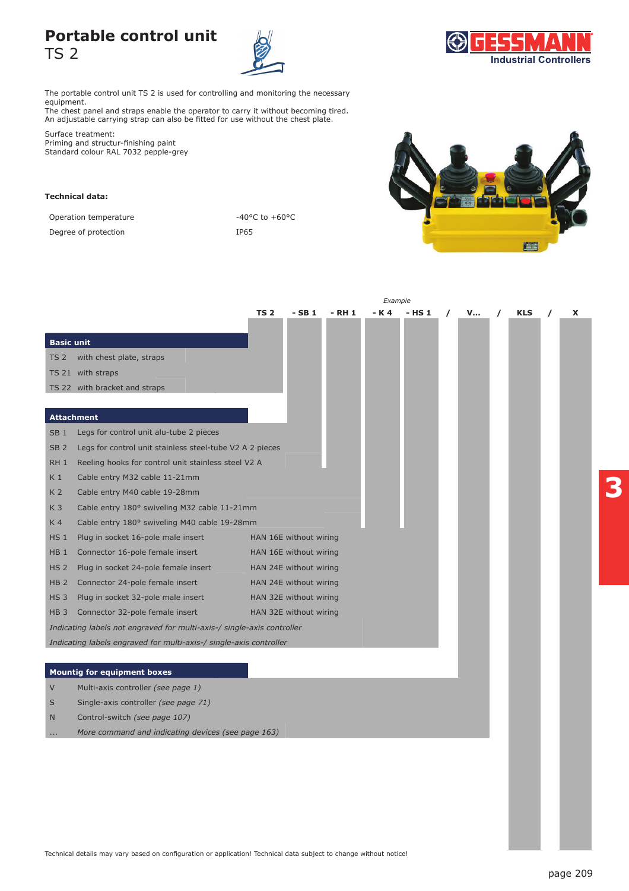## **Portable control unit**  TS 2





The portable control unit TS 2 is used for controlling and monitoring the necessary equipment.

The chest panel and straps enable the operator to carry it without becoming tired. An adjustable carrying strap can also be fitted for use without the chest plate.

Surface treatment: Priming and structur-finishing paint Standard colour RAL 7032 pepple-grey

## **Technical data:**

Operation temperature  $-40^{\circ}$ C to  $+60^{\circ}$ C

Degree of protection and a set of the IP65



|                                                                    |                                                                        | Example                |                        |        |       |        |          |   |  |            |  |   |
|--------------------------------------------------------------------|------------------------------------------------------------------------|------------------------|------------------------|--------|-------|--------|----------|---|--|------------|--|---|
|                                                                    |                                                                        | <b>TS 2</b>            | $-SB1$                 | - RH 1 | - K 4 | - HS 1 | $\prime$ | V |  | <b>KLS</b> |  | x |
|                                                                    |                                                                        |                        |                        |        |       |        |          |   |  |            |  |   |
| <b>Basic unit</b>                                                  |                                                                        |                        |                        |        |       |        |          |   |  |            |  |   |
| TS <sub>2</sub>                                                    | with chest plate, straps                                               |                        |                        |        |       |        |          |   |  |            |  |   |
|                                                                    | TS 21 with straps                                                      |                        |                        |        |       |        |          |   |  |            |  |   |
|                                                                    | TS 22 with bracket and straps                                          |                        |                        |        |       |        |          |   |  |            |  |   |
|                                                                    |                                                                        |                        |                        |        |       |        |          |   |  |            |  |   |
|                                                                    | <b>Attachment</b>                                                      |                        |                        |        |       |        |          |   |  |            |  |   |
| SB <sub>1</sub>                                                    | Legs for control unit alu-tube 2 pieces                                |                        |                        |        |       |        |          |   |  |            |  |   |
| SB <sub>2</sub>                                                    | Legs for control unit stainless steel-tube V2 A 2 pieces               |                        |                        |        |       |        |          |   |  |            |  |   |
| RH <sub>1</sub>                                                    | Reeling hooks for control unit stainless steel V2 A                    |                        |                        |        |       |        |          |   |  |            |  |   |
| K 1                                                                | Cable entry M32 cable 11-21mm                                          |                        |                        |        |       |        |          |   |  |            |  |   |
| K <sub>2</sub>                                                     | Cable entry M40 cable 19-28mm                                          |                        |                        |        |       |        |          |   |  |            |  |   |
| K <sub>3</sub>                                                     | Cable entry 180° swiveling M32 cable 11-21mm                           |                        |                        |        |       |        |          |   |  |            |  |   |
| K 4                                                                | Cable entry 180° swiveling M40 cable 19-28mm                           |                        |                        |        |       |        |          |   |  |            |  |   |
| HS <sub>1</sub>                                                    | Plug in socket 16-pole male insert                                     | HAN 16E without wiring |                        |        |       |        |          |   |  |            |  |   |
| HB <sub>1</sub>                                                    | Connector 16-pole female insert                                        |                        | HAN 16E without wiring |        |       |        |          |   |  |            |  |   |
| HS <sub>2</sub>                                                    | Plug in socket 24-pole female insert                                   | HAN 24E without wiring |                        |        |       |        |          |   |  |            |  |   |
| HB <sub>2</sub>                                                    | Connector 24-pole female insert                                        |                        | HAN 24E without wiring |        |       |        |          |   |  |            |  |   |
| <b>HS3</b>                                                         | Plug in socket 32-pole male insert                                     |                        | HAN 32E without wiring |        |       |        |          |   |  |            |  |   |
| HB <sub>3</sub>                                                    | Connector 32-pole female insert                                        |                        | HAN 32E without wiring |        |       |        |          |   |  |            |  |   |
|                                                                    | Indicating labels not engraved for multi-axis-/ single-axis controller |                        |                        |        |       |        |          |   |  |            |  |   |
| Indicating labels engraved for multi-axis-/ single-axis controller |                                                                        |                        |                        |        |       |        |          |   |  |            |  |   |
|                                                                    |                                                                        |                        |                        |        |       |        |          |   |  |            |  |   |
|                                                                    | <b>Mountig for equipment boxes</b>                                     |                        |                        |        |       |        |          |   |  |            |  |   |
| V                                                                  | Multi-axis controller (see page 1)                                     |                        |                        |        |       |        |          |   |  |            |  |   |
| S                                                                  | Single-axis controller (see page 71)                                   |                        |                        |        |       |        |          |   |  |            |  |   |
| N                                                                  | Control-switch (see page 107)                                          |                        |                        |        |       |        |          |   |  |            |  |   |
|                                                                    | More command and indicating devices (see page 163)                     |                        |                        |        |       |        |          |   |  |            |  |   |
|                                                                    |                                                                        |                        |                        |        |       |        |          |   |  |            |  |   |
|                                                                    |                                                                        |                        |                        |        |       |        |          |   |  |            |  |   |
|                                                                    |                                                                        |                        |                        |        |       |        |          |   |  |            |  |   |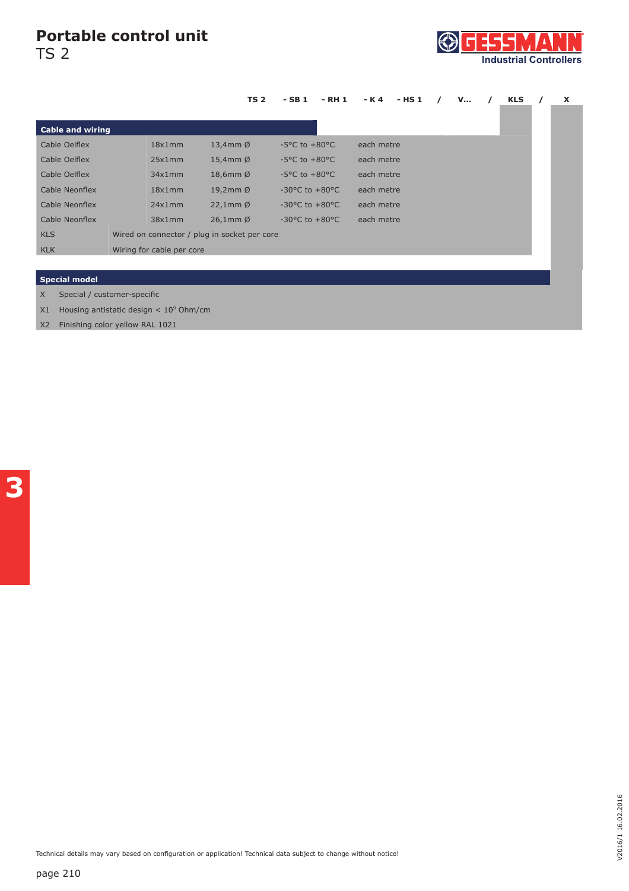## **Portable control unit**

TS 2



|                                         |                                              |        | <b>TS 2</b>           | $-SB1$                             | - RH 1 | - K 4      | - HS 1 |  | <b>V</b> |  | <b>KLS</b> |  | X |
|-----------------------------------------|----------------------------------------------|--------|-----------------------|------------------------------------|--------|------------|--------|--|----------|--|------------|--|---|
|                                         |                                              |        |                       |                                    |        |            |        |  |          |  |            |  |   |
| <b>Cable and wiring</b>                 |                                              |        |                       |                                    |        |            |        |  |          |  |            |  |   |
| Cable Oelflex                           |                                              | 18x1mm | 13,4mm $\emptyset$    | $-5^{\circ}$ C to $+80^{\circ}$ C  |        | each metre |        |  |          |  |            |  |   |
| Cable Oelflex                           |                                              | 25x1mm | 15,4mm $\varnothing$  | $-5^{\circ}$ C to $+80^{\circ}$ C  |        | each metre |        |  |          |  |            |  |   |
| Cable Oelflex                           |                                              | 34x1mm | 18,6mm $\varnothing$  | $-5^{\circ}$ C to $+80^{\circ}$ C  |        | each metre |        |  |          |  |            |  |   |
| Cable Neonflex                          |                                              | 18x1mm | 19,2mm $\varnothing$  | $-30^{\circ}$ C to $+80^{\circ}$ C |        | each metre |        |  |          |  |            |  |   |
| Cable Neonflex                          |                                              | 24x1mm | $22,1$ mm $\emptyset$ | $-30^{\circ}$ C to $+80^{\circ}$ C |        | each metre |        |  |          |  |            |  |   |
| Cable Neonflex                          |                                              | 38x1mm | $26,1$ mm $\emptyset$ | $-30^{\circ}$ C to $+80^{\circ}$ C |        | each metre |        |  |          |  |            |  |   |
| <b>KLS</b>                              | Wired on connector / plug in socket per core |        |                       |                                    |        |            |        |  |          |  |            |  |   |
| <b>KLK</b>                              | Wiring for cable per core                    |        |                       |                                    |        |            |        |  |          |  |            |  |   |
|                                         |                                              |        |                       |                                    |        |            |        |  |          |  |            |  |   |
| <b>Special model</b>                    |                                              |        |                       |                                    |        |            |        |  |          |  |            |  |   |
| $\times$<br>Special / customer-specific |                                              |        |                       |                                    |        |            |        |  |          |  |            |  |   |

 $X1$  Housing antistatic design  $< 10<sup>9</sup>$  Ohm/cm

X2 Finishing color yellow RAL 1021

Technical details may vary based on configuration or application! Technical data subject to change without notice!